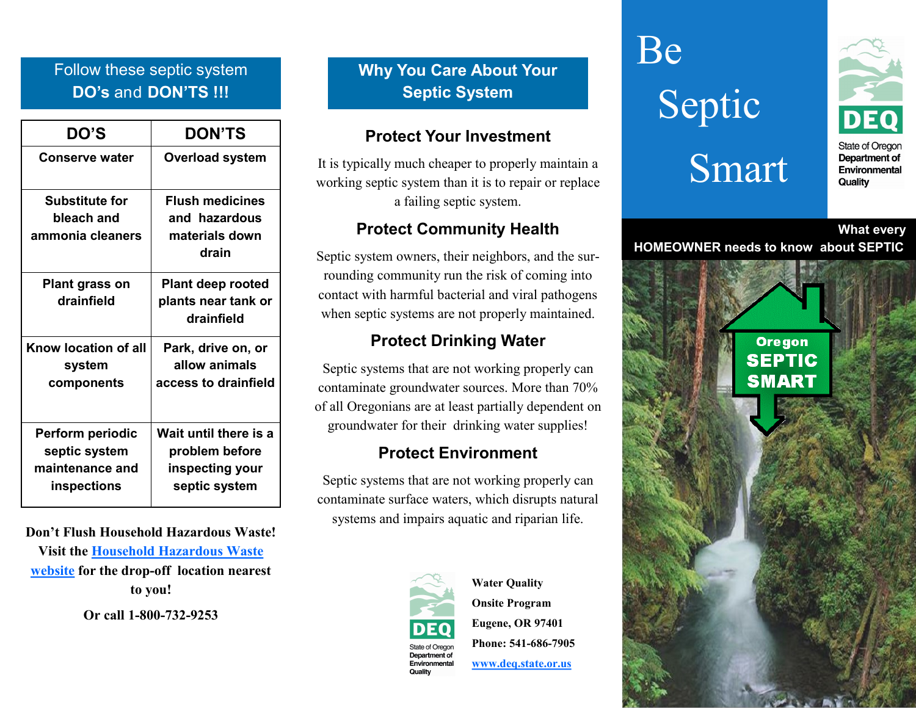## Follow these septic system **DO's** and **DON'TS !!!**

| <b>DO'S</b>                                                         | <b>DON'TS</b>                                                               |
|---------------------------------------------------------------------|-----------------------------------------------------------------------------|
| <b>Conserve water</b>                                               | <b>Overload system</b>                                                      |
| <b>Substitute for</b><br>bleach and<br>ammonia cleaners             | <b>Flush medicines</b><br>and hazardous<br>materials down<br>drain          |
| <b>Plant grass on</b><br>drainfield                                 | <b>Plant deep rooted</b><br>plants near tank or<br>drainfield               |
| Know location of all<br>system<br>components                        | Park, drive on, or<br>allow animals<br>access to drainfield                 |
| Perform periodic<br>septic system<br>maintenance and<br>inspections | Wait until there is a<br>problem before<br>inspecting your<br>septic system |

**Don't Flush Household Hazardous Waste! Visit the [Household Hazardous Waste](https://www.oregon.gov/deq/Hazards-and-Cleanup/hw/Pages/hhw.aspx)** 

**[website](https://www.oregon.gov/deq/Hazards-and-Cleanup/hw/Pages/hhw.aspx) for the drop-off location nearest to you!**

**Or call 1-800-732-9253**

**Why You Care About Your Septic System**

#### **Protect Your Investment**

It is typically much cheaper to properly maintain a working septic system than it is to repair or replace a failing septic system.

#### **Protect Community Health**

Septic system owners, their neighbors, and the surrounding community run the risk of coming into contact with harmful bacterial and viral pathogens when septic systems are not properly maintained.

#### **Protect Drinking Water**

Septic systems that are not working properly can contaminate groundwater sources. More than 70% of all Oregonians are at least partially dependent on groundwater for their drinking water supplies!

#### **Protect Environment**

Septic systems that are not working properly can contaminate surface waters, which disrupts natural systems and impairs aquatic and riparian life.



**Water Quality Onsite Program Eugene, OR 97401 Phone: 541-686-7905 [www.deq.state.or.us](http://www.oregon.gov/deq/Pages/index.aspx)**

Be **Septic** 

# Smart



Department of Environmental Quality